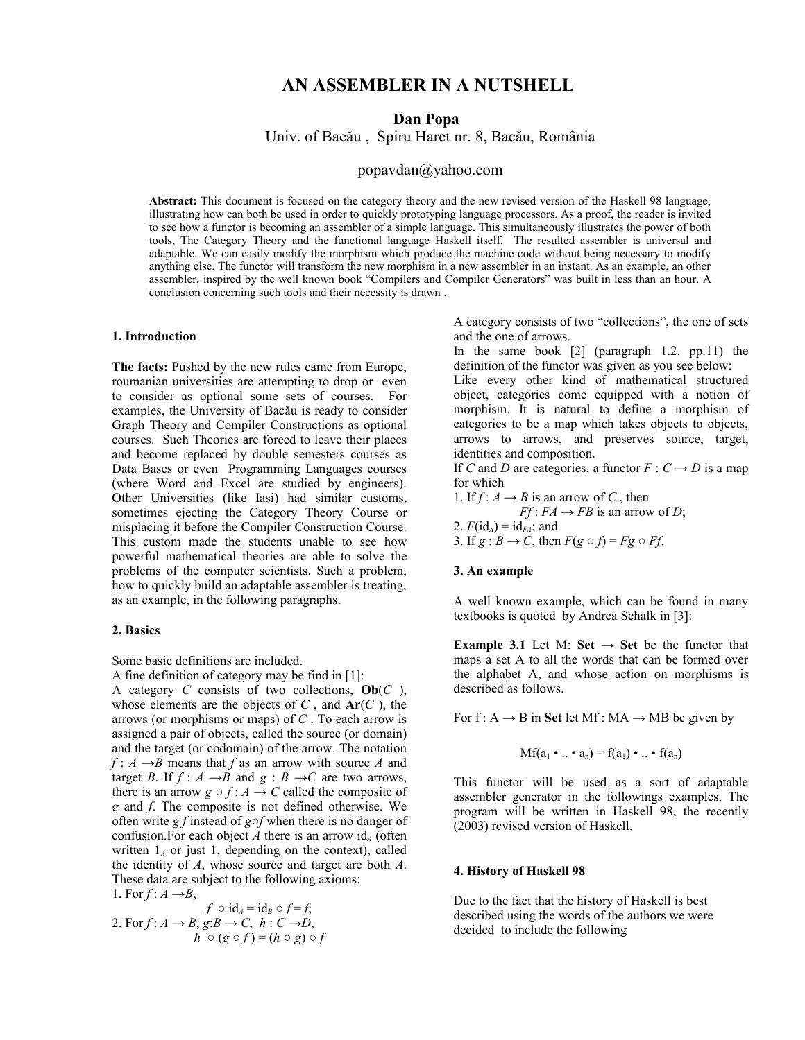# **AN ASSEMBLER IN A NUTSHELL**

**Dan Popa** 

Univ. of Bacău , Spiru Haret nr. 8, Bacău, România

popavdan@yahoo.com

**Abstract:** This document is focused on the category theory and the new revised version of the Haskell 98 language, illustrating how can both be used in order to quickly prototyping language processors. As a proof, the reader is invited to see how a functor is becoming an assembler of a simple language. This simultaneously illustrates the power of both tools, The Category Theory and the functional language Haskell itself. The resulted assembler is universal and adaptable. We can easily modify the morphism which produce the machine code without being necessary to modify anything else. The functor will transform the new morphism in a new assembler in an instant. As an example, an other assembler, inspired by the well known book "Compilers and Compiler Generators" was built in less than an hour. A conclusion concerning such tools and their necessity is drawn .

### **1. Introduction**

**The facts:** Pushed by the new rules came from Europe, roumanian universities are attempting to drop or even to consider as optional some sets of courses. For examples, the University of Bacău is ready to consider Graph Theory and Compiler Constructions as optional courses. Such Theories are forced to leave their places and become replaced by double semesters courses as Data Bases or even Programming Languages courses (where Word and Excel are studied by engineers). Other Universities (like Iasi) had similar customs, sometimes ejecting the Category Theory Course or misplacing it before the Compiler Construction Course. This custom made the students unable to see how powerful mathematical theories are able to solve the problems of the computer scientists. Such a problem, how to quickly build an adaptable assembler is treating, as an example, in the following paragraphs.

#### **2. Basics**

Some basic definitions are included.

A fine definition of category may be find in [1]: A category *C* consists of two collections, **Ob**(*C* ), whose elements are the objects of *C* , and **Ar**(*C* ), the arrows (or morphisms or maps) of *C* . To each arrow is assigned a pair of objects, called the source (or domain) and the target (or codomain) of the arrow. The notation  $f: A \rightarrow B$  means that *f* as an arrow with source *A* and target *B*. If  $f : A \rightarrow B$  and  $g : B \rightarrow C$  are two arrows, there is an arrow  $g \circ f : A \to C$  called the composite of *g* and *f*. The composite is not defined otherwise. We often write *g f* instead of *g○f* when there is no danger of confusion. For each object *A* there is an arrow  $id_A$  (often written  $1_A$  or just 1, depending on the context), called the identity of *A*, whose source and target are both *A*. These data are subject to the following axioms: 1. For  $f: A \rightarrow B$ ,

$$
f \circ id_A = id_B \circ f = f;
$$
  
2. For  $f : A \rightarrow B$ ,  $g: B \rightarrow C$ ,  $h : C \rightarrow D$ ,  
 $h \circ (g \circ f) = (h \circ g) \circ f$ 

A category consists of two "collections", the one of sets and the one of arrows.

In the same book [2] (paragraph 1.2. pp.11) the definition of the functor was given as you see below:

Like every other kind of mathematical structured object, categories come equipped with a notion of morphism. It is natural to define a morphism of categories to be a map which takes objects to objects, arrows to arrows, and preserves source, target, identities and composition.

If *C* and *D* are categories, a functor  $F: C \rightarrow D$  is a map for which

1. If  $f : A \rightarrow B$  is an arrow of C, then *Ff* :  $FA \rightarrow FB$  is an arrow of *D*; 2.  $F(\mathrm{id}_A) = \mathrm{id}_{FA}$ ; and 3. If  $g : B \to C$ , then  $F(g \circ f) = Fg \circ Ff$ .

### **3. An example**

A well known example, which can be found in many textbooks is quoted by Andrea Schalk in [3]:

**Example 3.1** Let M: **Set**  $\rightarrow$  **Set** be the functor that maps a set A to all the words that can be formed over the alphabet A, and whose action on morphisms is described as follows.

For f :  $A \rightarrow B$  in **Set** let Mf : MA  $\rightarrow$  MB be given by

$$
Mf(a_1 \bullet ... \bullet a_n) = f(a_1) \bullet ... \bullet f(a_n)
$$

This functor will be used as a sort of adaptable assembler generator in the followings examples. The program will be written in Haskell 98, the recently (2003) revised version of Haskell.

#### **4. History of Haskell 98**

Due to the fact that the history of Haskell is best described using the words of the authors we were decided to include the following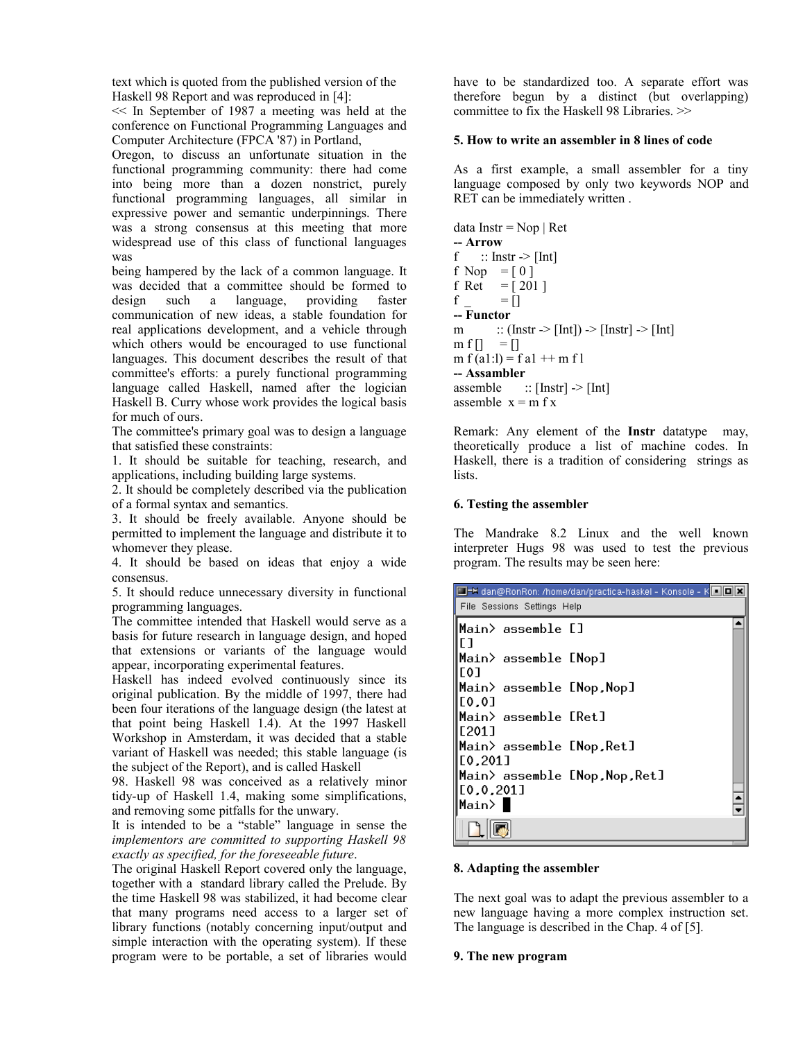text which is quoted from the published version of the Haskell 98 Report and was reproduced in [4]:

<< In September of 1987 a meeting was held at the conference on Functional Programming Languages and Computer Architecture (FPCA '87) in Portland,

Oregon, to discuss an unfortunate situation in the functional programming community: there had come into being more than a dozen nonstrict, purely functional programming languages, all similar in expressive power and semantic underpinnings. There was a strong consensus at this meeting that more widespread use of this class of functional languages was

being hampered by the lack of a common language. It was decided that a committee should be formed to design such a language, providing faster  $design$  such a language, providing communication of new ideas, a stable foundation for real applications development, and a vehicle through which others would be encouraged to use functional languages. This document describes the result of that committee's efforts: a purely functional programming language called Haskell, named after the logician Haskell B. Curry whose work provides the logical basis for much of ours.

The committee's primary goal was to design a language that satisfied these constraints:

1. It should be suitable for teaching, research, and applications, including building large systems.

2. It should be completely described via the publication of a formal syntax and semantics.

3. It should be freely available. Anyone should be permitted to implement the language and distribute it to whomever they please.

4. It should be based on ideas that enjoy a wide consensus.

5. It should reduce unnecessary diversity in functional programming languages.

The committee intended that Haskell would serve as a basis for future research in language design, and hoped that extensions or variants of the language would appear, incorporating experimental features.

Haskell has indeed evolved continuously since its original publication. By the middle of 1997, there had been four iterations of the language design (the latest at that point being Haskell 1.4). At the 1997 Haskell Workshop in Amsterdam, it was decided that a stable variant of Haskell was needed; this stable language (is the subject of the Report), and is called Haskell

98. Haskell 98 was conceived as a relatively minor tidy-up of Haskell 1.4, making some simplifications, and removing some pitfalls for the unwary.

It is intended to be a "stable" language in sense the *implementors are committed to supporting Haskell 98 exactly as specified, for the foreseeable future*.

The original Haskell Report covered only the language, together with a standard library called the Prelude. By the time Haskell 98 was stabilized, it had become clear that many programs need access to a larger set of library functions (notably concerning input/output and simple interaction with the operating system). If these program were to be portable, a set of libraries would have to be standardized too. A separate effort was therefore begun by a distinct (but overlapping) committee to fix the Haskell 98 Libraries. >>

# **5. How to write an assembler in 8 lines of code**

As a first example, a small assembler for a tiny language composed by only two keywords NOP and RET can be immediately written .

```
data Instr = Nop | Ret-- Arrow 
f \therefore Instr \ge [Int]
f Nop = [0]f Ret = [201]f = []-- Functor
m \therefore (Instr -> [Int]) -> [Instr] -> [Int]
m f[] = []
m f (a1: l) = f a1 + m f l-- Assambler 
assemble :: [Instr] \rightarrow [Int]
assemble x = m f x
```
Remark: Any element of the **Instr** datatype may, theoretically produce a list of machine codes. In Haskell, there is a tradition of considering strings as lists.

## **6. Testing the assembler**

The Mandrake 8.2 Linux and the well known interpreter Hugs 98 was used to test the previous program. The results may be seen here:

| □→ dan@RonRon: /home/dan/practica-haskel - Konsole - KODD<br>File Sessions Settings Help |  |
|------------------------------------------------------------------------------------------|--|
| ∥Main> assemble []<br>٢ı                                                                 |  |
| Main> assemble [Nop]<br>T01                                                              |  |
| Main> assemble [Nop,Nop]<br>[0.0]                                                        |  |
| Main> assemble [Ret]<br>E2011                                                            |  |
| Main> assemble [Nop,Ret]<br>[0,201]                                                      |  |
| [Main> assemble [Nop,Nop,Ret]<br>[0,0,201]<br>∥Main> ∎                                   |  |
|                                                                                          |  |

# **8. Adapting the assembler**

The next goal was to adapt the previous assembler to a new language having a more complex instruction set. The language is described in the Chap. 4 of [5].

#### **9. The new program**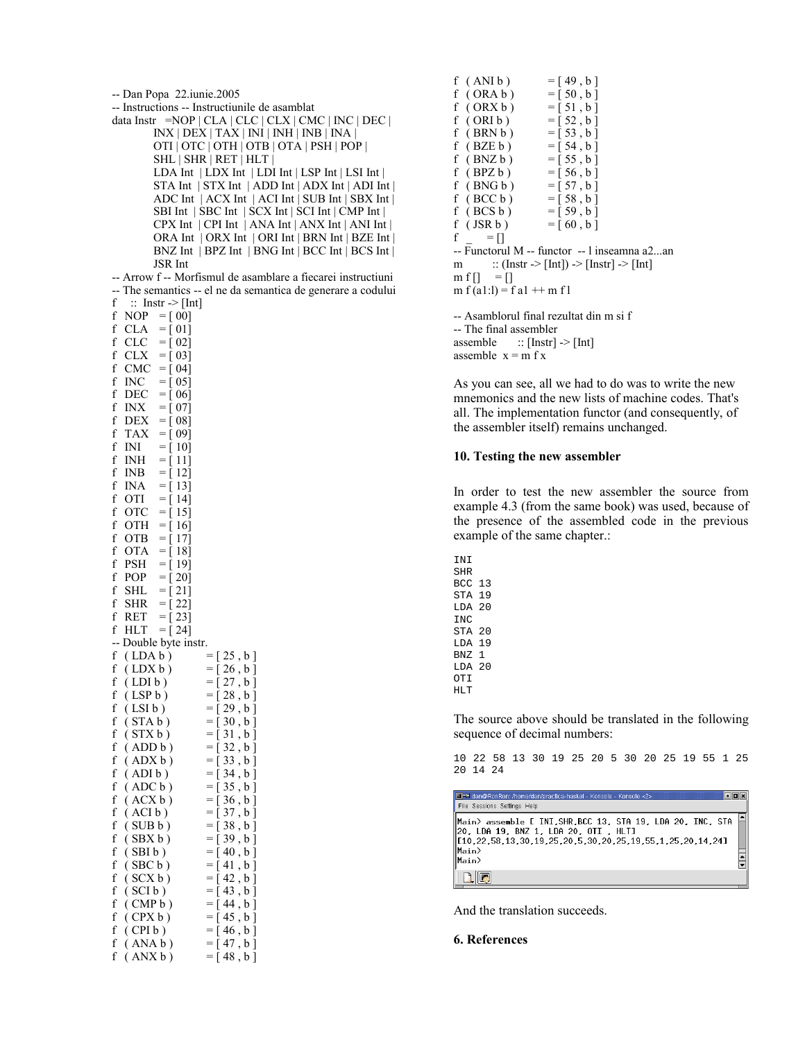| -- Dan Popa 22.iunie.2005                   |                                                              |
|---------------------------------------------|--------------------------------------------------------------|
|                                             | -- Instructions -- Instructiunile de asamblat                |
|                                             | data Instr = NOP   CLA   CLC   CLX   CMC   INC   DEC         |
|                                             | $INX   DEX   TAX   INI   INH   INB   INA  $                  |
|                                             | OTI   OTC   OTH   OTB   OTA   PSH   POP                      |
|                                             | SHL   SHR   RET   HLT                                        |
|                                             | LDA Int $  LDX Int   LDI Int   LSP Int   LSI Int  $          |
|                                             | STA Int   STX Int   ADD Int   ADX Int   ADI Int              |
|                                             | ADC Int   ACX Int   ACI Int   SUB Int   SBX Int              |
|                                             | SBI Int   SBC Int   SCX Int   SCI Int   CMP Int              |
|                                             | CPX Int   CPI Int   ANA Int   ANX Int   ANI Int              |
|                                             | ORA Int   ORX Int   ORI Int   BRN Int   BZE Int              |
|                                             | BNZ Int   BPZ Int   BNG Int   BCC Int   BCS Int              |
| JSR Int                                     |                                                              |
|                                             |                                                              |
|                                             | -- Arrow f -- Morfismul de asamblare a fiecarei instructiuni |
|                                             | -- The semantics -- el ne da semantica de generare a codului |
| f<br>$\therefore$ Instr $\Rightarrow$ [Int] |                                                              |
| f<br>$NOP = [00]$                           |                                                              |
| f<br>$CLA = [01]$                           |                                                              |
| f<br>$CLC = [02]$                           |                                                              |
| f<br>CLX<br>$= [03]$                        |                                                              |
| f<br>CMC<br>$= [04]$                        |                                                              |
| f<br>$INC = [05]$                           |                                                              |
| f<br>DEC<br>$=$ [ 06]                       |                                                              |
| f<br>INX<br>$= [07]$                        |                                                              |
| f<br>$\text{DEX} = [08]$                    |                                                              |
| f<br>TAX<br>$=$ [ 09]                       |                                                              |
| f<br>INI<br>$= [ 10]$                       |                                                              |
| f<br>INH<br>$=$ [ 11]                       |                                                              |
| f<br>INB<br>$=$ [ 12]                       |                                                              |
| f<br>INA<br>$=$ [13]                        |                                                              |
| f<br>OTI<br>$=$ [ 14]                       |                                                              |
| f<br><b>OTC</b><br>$=$ [ 15]                |                                                              |
| f<br>OTH<br>$=$ [ 16]                       |                                                              |
| f<br>OTB = [17]                             |                                                              |
| f<br>OTA = [ 18]                            |                                                              |
| f<br>PSH<br>$=$ [19]                        |                                                              |
| f<br>POP<br>$= [20]$                        |                                                              |
| f<br>SHL<br>$= [ 21]$                       |                                                              |
| f<br>$= [22]$<br><b>SHR</b>                 |                                                              |
| f<br>RET<br>$= [23]$                        |                                                              |
| f<br>HLT                                    |                                                              |
| $= [24]$                                    |                                                              |
| -- Double byte instr.                       |                                                              |
| $f$ (LDA $b$ )                              | $= [25, b]$                                                  |
| f<br>(LDX b)                                | $=[26, b]$                                                   |
| (LDI <sub>b</sub> )<br>t                    | $=[27, b]$                                                   |
| (LSP b)<br>f                                | $=[28, b]$                                                   |
| f<br>(LSI b)                                | $=[29,b]$                                                    |
| f<br>(STA b)                                | $=[30, b]$                                                   |
| f<br>(STXb)                                 | $= [31, b]$                                                  |
| f<br>(ADD b)                                | $=[32, b]$                                                   |
| f<br>(ADXb)                                 | $=[33, b]$                                                   |
| f<br>(ADIb)                                 | $= [34, b]$                                                  |
| f<br>(ADC b)                                | $=[35, b]$                                                   |
| f<br>(ACXb)                                 | $=[36, b]$                                                   |
| f<br>(ACIb)                                 | $=[37, b]$                                                   |
| f<br>(SUB b)                                | $=[38, b]$                                                   |
| f<br>(SBX b)                                | $=[39,b]$                                                    |
| f<br>(SBI b)                                | $= [40, b]$                                                  |
| f<br>(SBC b)                                | $=[41, b]$                                                   |
| f<br>(SCX <sub>b</sub> )                    | $= [42, b]$                                                  |
| f<br>(SCI b)                                | $= [43, b]$                                                  |
| f<br>(CMP b)                                | $=[44, b]$                                                   |
| f<br>(CPX b)                                | $=[45, b]$                                                   |
| f<br>(CPIb)                                 | $=[46, b]$                                                   |
| f<br>(ANA b)                                | $=[47, b]$                                                   |

f ( $ANX b$ ) = [48, b]

f (ANI b) = [49, b]<br>f (ORA b) = [50, b]  $f$  (ORA  $b$ ) f ( ORX b ) =  $[51, b]$ f ( ORI b ) =  $[52, b]$ <br>f ( BRN b ) =  $[53, b]$  $f$  (BRN  $b$ ) f ( BZE b ) =  $[54, b]$ <br>f ( BNZ b ) =  $[55, b]$  $f$  (BNZ  $b$ ) f (BPZ b) = [56, b]<br>f (BNG b) = [57, b]  $f$  (BNG b) f ( BCC b ) = [ 58 , b ]<br>f ( BCS b ) = [ 59 , b ]  $f$  (BCS  $b$ ) f ( JSR b ) =  $[60, b]$  $f = []$ -- Functorul M -- functor -- l inseamna a2...an m  $:: (Instr -> [Int]) -> [Instr] -> [Int]$  $m f$ [] = [] m f (a1:1) = f a1  $++$  m f 1 -- Asamblorul final rezultat din m si f

-- The final assembler assemble  $::$  [Instr]  $\rightarrow$  [Int] assemble  $x = m f x$ 

As you can see, all we had to do was to write the new mnemonics and the new lists of machine codes. That's all. The implementation functor (and consequently, of the assembler itself) remains unchanged.

### **10. Testing the new assembler**

In order to test the new assembler the source from example 4.3 (from the same book) was used, because of the presence of the assembled code in the previous example of the same chapter.:

INI SHR BCC 13 STA 19 LDA 20  $TMC$ STA 20 LDA 19 BNZ 1 LDA 20 OTI HLT

The source above should be translated in the following sequence of decimal numbers:

10 22 58 13 30 19 25 20 5 30 20 25 19 55 1 25 20 14 24

 $\Box$ 

Man@RonRon: /home/dan/practica-haskel - Konsole - Konsole <2 File Sessions Settings Help Main> assemble [ INI,SHR,BCC 13, STA 19, LDA 20, INC, STA  $20. LDA 19. BNZ 1. LDA 20. 011. HLT$ <br>[10.22.58.13.30.19.25.20.5.30.20.25.19.55.1.25.20.14.24] Main>  $\frac{1}{2}$  $\Box$ o

And the translation succeeds.

### **6. References**